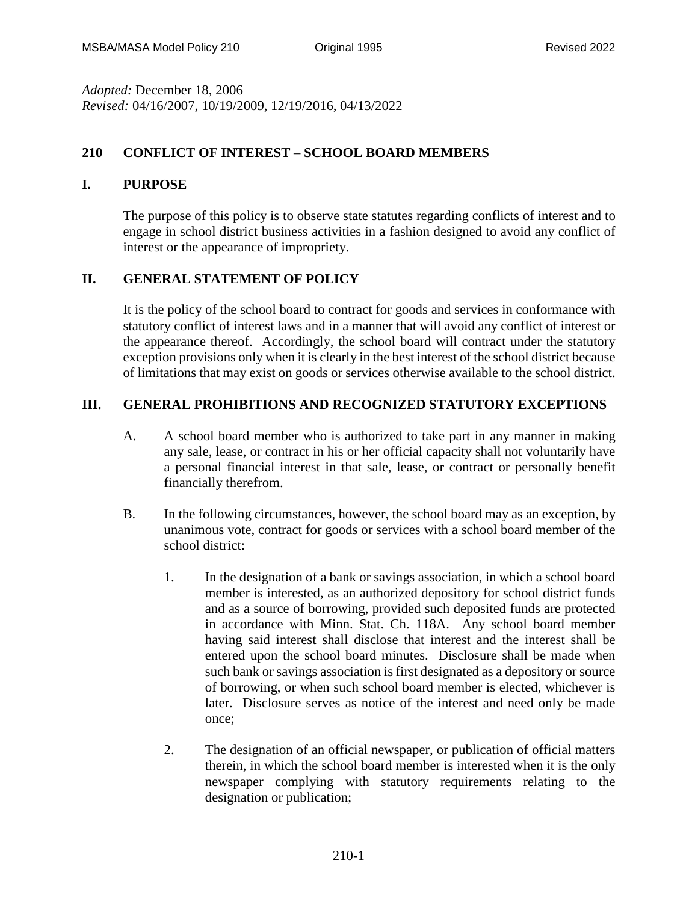*Adopted:* December 18, 2006 *Revised:* 04/16/2007, 10/19/2009, 12/19/2016, 04/13/2022

## **210 CONFLICT OF INTEREST** – **SCHOOL BOARD MEMBERS**

### **I. PURPOSE**

The purpose of this policy is to observe state statutes regarding conflicts of interest and to engage in school district business activities in a fashion designed to avoid any conflict of interest or the appearance of impropriety.

## **II. GENERAL STATEMENT OF POLICY**

It is the policy of the school board to contract for goods and services in conformance with statutory conflict of interest laws and in a manner that will avoid any conflict of interest or the appearance thereof. Accordingly, the school board will contract under the statutory exception provisions only when it is clearly in the best interest of the school district because of limitations that may exist on goods or services otherwise available to the school district.

# **III. GENERAL PROHIBITIONS AND RECOGNIZED STATUTORY EXCEPTIONS**

- A. A school board member who is authorized to take part in any manner in making any sale, lease, or contract in his or her official capacity shall not voluntarily have a personal financial interest in that sale, lease, or contract or personally benefit financially therefrom.
- B. In the following circumstances, however, the school board may as an exception, by unanimous vote, contract for goods or services with a school board member of the school district:
	- 1. In the designation of a bank or savings association, in which a school board member is interested, as an authorized depository for school district funds and as a source of borrowing, provided such deposited funds are protected in accordance with Minn. Stat. Ch. 118A. Any school board member having said interest shall disclose that interest and the interest shall be entered upon the school board minutes. Disclosure shall be made when such bank or savings association is first designated as a depository or source of borrowing, or when such school board member is elected, whichever is later. Disclosure serves as notice of the interest and need only be made once;
	- 2. The designation of an official newspaper, or publication of official matters therein, in which the school board member is interested when it is the only newspaper complying with statutory requirements relating to the designation or publication;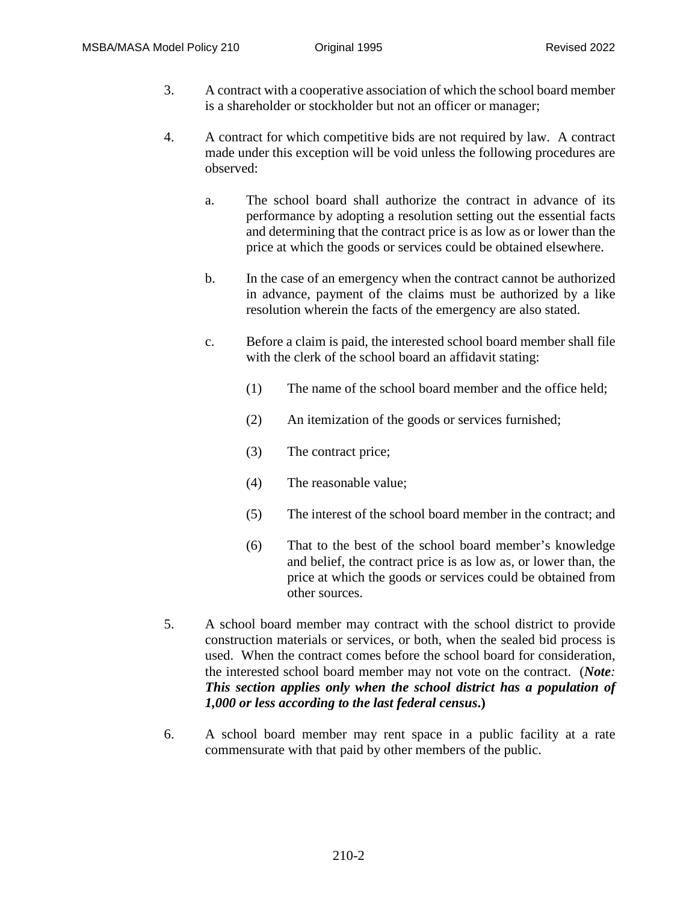- 3. A contract with a cooperative association of which the school board member is a shareholder or stockholder but not an officer or manager;
- 4. A contract for which competitive bids are not required by law. A contract made under this exception will be void unless the following procedures are observed:
	- a. The school board shall authorize the contract in advance of its performance by adopting a resolution setting out the essential facts and determining that the contract price is as low as or lower than the price at which the goods or services could be obtained elsewhere.
	- b. In the case of an emergency when the contract cannot be authorized in advance, payment of the claims must be authorized by a like resolution wherein the facts of the emergency are also stated.
	- c. Before a claim is paid, the interested school board member shall file with the clerk of the school board an affidavit stating:
		- (1) The name of the school board member and the office held;
		- (2) An itemization of the goods or services furnished;
		- (3) The contract price;
		- (4) The reasonable value;
		- (5) The interest of the school board member in the contract; and
		- (6) That to the best of the school board member's knowledge and belief, the contract price is as low as, or lower than, the price at which the goods or services could be obtained from other sources.
- 5. A school board member may contract with the school district to provide construction materials or services, or both, when the sealed bid process is used. When the contract comes before the school board for consideration, the interested school board member may not vote on the contract. (*Note: This section applies only when the school district has a population of 1,000 or less according to the last federal census***.)**
- 6. A school board member may rent space in a public facility at a rate commensurate with that paid by other members of the public.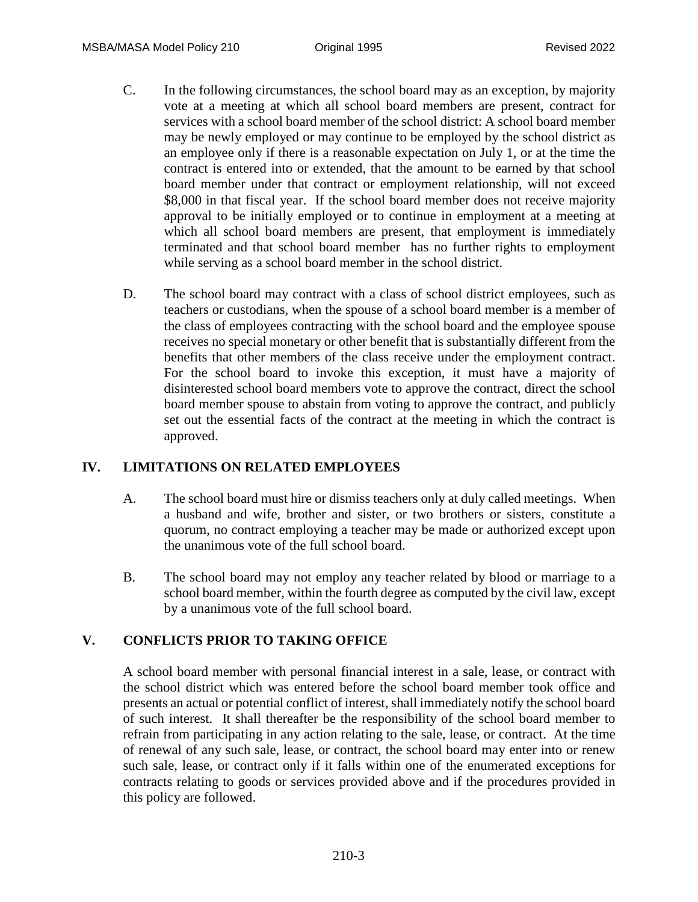- C. In the following circumstances, the school board may as an exception, by majority vote at a meeting at which all school board members are present, contract for services with a school board member of the school district: A school board member may be newly employed or may continue to be employed by the school district as an employee only if there is a reasonable expectation on July 1, or at the time the contract is entered into or extended, that the amount to be earned by that school board member under that contract or employment relationship, will not exceed \$8,000 in that fiscal year. If the school board member does not receive majority approval to be initially employed or to continue in employment at a meeting at which all school board members are present, that employment is immediately terminated and that school board member has no further rights to employment while serving as a school board member in the school district.
- D. The school board may contract with a class of school district employees, such as teachers or custodians, when the spouse of a school board member is a member of the class of employees contracting with the school board and the employee spouse receives no special monetary or other benefit that is substantially different from the benefits that other members of the class receive under the employment contract. For the school board to invoke this exception, it must have a majority of disinterested school board members vote to approve the contract, direct the school board member spouse to abstain from voting to approve the contract, and publicly set out the essential facts of the contract at the meeting in which the contract is approved.

#### **IV. LIMITATIONS ON RELATED EMPLOYEES**

- A. The school board must hire or dismiss teachers only at duly called meetings. When a husband and wife, brother and sister, or two brothers or sisters, constitute a quorum, no contract employing a teacher may be made or authorized except upon the unanimous vote of the full school board.
- B. The school board may not employ any teacher related by blood or marriage to a school board member, within the fourth degree as computed by the civil law, except by a unanimous vote of the full school board.

## **V. CONFLICTS PRIOR TO TAKING OFFICE**

A school board member with personal financial interest in a sale, lease, or contract with the school district which was entered before the school board member took office and presents an actual or potential conflict of interest, shall immediately notify the school board of such interest. It shall thereafter be the responsibility of the school board member to refrain from participating in any action relating to the sale, lease, or contract. At the time of renewal of any such sale, lease, or contract, the school board may enter into or renew such sale, lease, or contract only if it falls within one of the enumerated exceptions for contracts relating to goods or services provided above and if the procedures provided in this policy are followed.